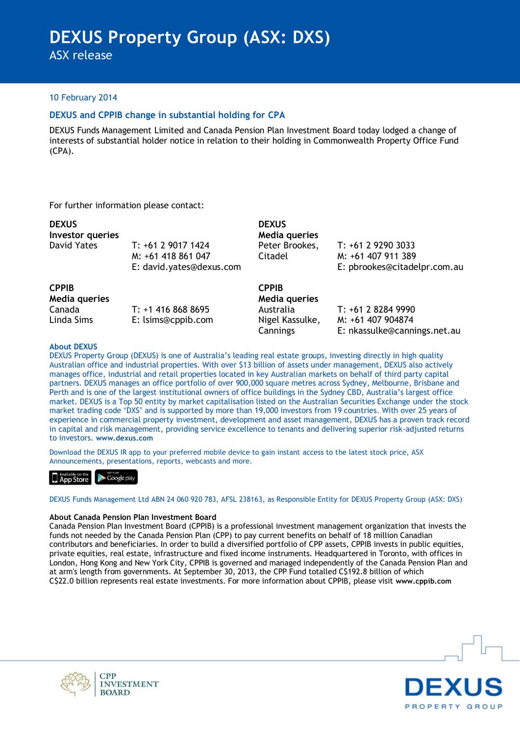ASX release

#### 10 February 2014

### **DEXUS and CPPIB change in substantial holding for CPA**

DEXUS Funds Management Limited and Canada Pension Plan Investment Board today lodged a change of interests of substantial holder notice in relation to their holding in Commonwealth Property Office Fund (CPA).

For further information please contact:

| <b>DEXUS</b><br>Investor queries |                                                                      | <b>DEXUS</b><br>Media queries        |                                                                          |
|----------------------------------|----------------------------------------------------------------------|--------------------------------------|--------------------------------------------------------------------------|
| David Yates                      | T: +61 2 9017 1424<br>M: +61 418 861 047<br>E: david.yates@dexus.com | Peter Brookes,<br>Citadel            | T: +61 2 9290 3033<br>M: +61 407 911 389<br>E: pbrookes@citadelpr.com.au |
| <b>CPPIB</b><br>Media queries    |                                                                      | <b>CPPIB</b><br><b>Media queries</b> |                                                                          |
| Canada                           | $T: +14168688695$                                                    | Australia                            | T: +61 2 8284 9990                                                       |
| Linda Sims                       | E: lsims@cppib.com                                                   | Nigel Kassulke,<br>Cannings          | M: +61 407 904874<br>E: nkassulke@cannings.net.au                        |

#### **About DEXUS**

DEXUS Property Group (DEXUS) is one of Australia's leading real estate groups, investing directly in high quality Australian office and industrial properties. With over \$13 billion of assets under management, DEXUS also actively manages office, industrial and retail properties located in key Australian markets on behalf of third party capital partners. DEXUS manages an office portfolio of over 900,000 square metres across Sydney, Melbourne, Brisbane and Perth and is one of the largest institutional owners of office buildings in the Sydney CBD, Australia's largest office market. DEXUS is a Top 50 entity by market capitalisation listed on the Australian Securities Exchange under the stock market trading code 'DXS' and is supported by more than 19,000 investors from 19 countries. With over 25 years of experience in commercial property investment, development and asset management, DEXUS has a proven track record in capital and risk management, providing service excellence to tenants and delivering superior risk-adjusted returns to investors. **www.dexus.com**

Download the DEXUS IR app to your preferred mobile device to gain instant access to the latest stock price, ASX Announcements, presentations, reports, webcasts and more.



DEXUS Funds Management Ltd ABN 24 060 920 783, AFSL 238163, as Responsible Entity for DEXUS Property Group (ASX: DXS)

#### **About Canada Pension Plan Investment Board**

Canada Pension Plan Investment Board (CPPIB) is a professional investment management organization that invests the funds not needed by the Canada Pension Plan (CPP) to pay current benefits on behalf of 18 million Canadian contributors and beneficiaries. In order to build a diversified portfolio of CPP assets, CPPIB invests in public equities, private equities, real estate, infrastructure and fixed income instruments. Headquartered in Toronto, with offices in London, Hong Kong and New York City, CPPIB is governed and managed independently of the Canada Pension Plan and at arm's length from governments. At September 30, 2013, the CPP Fund totalled C\$192.8 billion of which C\$22.0 billion represents real estate investments. For more information about CPPIB, please visit **www.cppib.com**



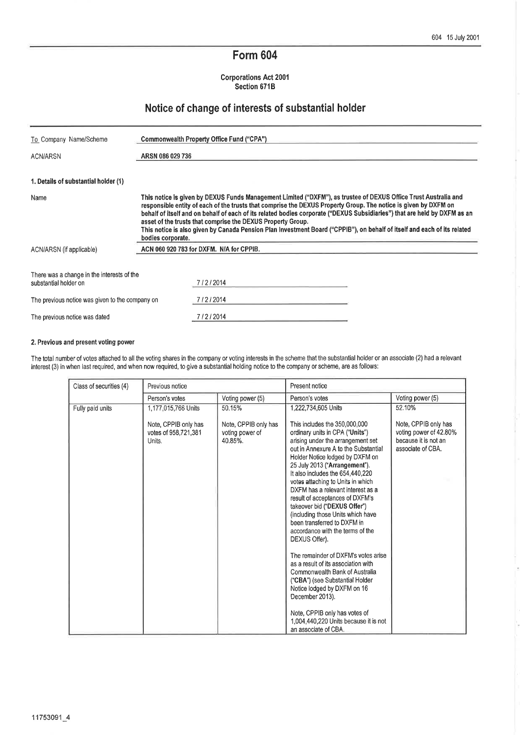# Form 604

Corporations Act 2001 Section 671B

## Notice of change of interests of substantial holder

| To Company Name/Scheme                                              | Commonwealth Property Office Fund ("CPA")                                                                                                                                                                                                                                                                                                                                                                                                                                                                                                                                       |  |  |
|---------------------------------------------------------------------|---------------------------------------------------------------------------------------------------------------------------------------------------------------------------------------------------------------------------------------------------------------------------------------------------------------------------------------------------------------------------------------------------------------------------------------------------------------------------------------------------------------------------------------------------------------------------------|--|--|
| ACN/ARSN                                                            | ARSN 086 029 736                                                                                                                                                                                                                                                                                                                                                                                                                                                                                                                                                                |  |  |
| 1. Details of substantial holder (1)                                |                                                                                                                                                                                                                                                                                                                                                                                                                                                                                                                                                                                 |  |  |
| Name                                                                | This notice is given by DEXUS Funds Management Limited ("DXFM"), as trustee of DEXUS Office Trust Australia and<br>responsible entity of each of the trusts that comprise the DEXUS Property Group. The notice is given by DXFM on<br>behalf of itself and on behalf of each of its related bodies corporate ("DEXUS Subsidiaries") that are held by DXFM as an<br>asset of the trusts that comprise the DEXUS Property Group.<br>This notice is also given by Canada Pension Plan Investment Board ("CPPIB"), on behalf of itself and each of its related<br>bodies corporate. |  |  |
| ACN/ARSN (if applicable)                                            | ACN 060 920 783 for DXFM. N/A for CPPIB.                                                                                                                                                                                                                                                                                                                                                                                                                                                                                                                                        |  |  |
| There was a change in the interests of the<br>substantial holder on | 7/2/2014                                                                                                                                                                                                                                                                                                                                                                                                                                                                                                                                                                        |  |  |
| The previous notice was given to the company on                     | 7/2/2014                                                                                                                                                                                                                                                                                                                                                                                                                                                                                                                                                                        |  |  |
| The previous notice was dated                                       | 7/2/2014                                                                                                                                                                                                                                                                                                                                                                                                                                                                                                                                                                        |  |  |

#### 2. Previous and present voting power

The total number of votes attached to all the voting shares in the company or voting interests in the scheme that the substantial holder or an associate (2) had a relevant interest (3) in when last required, and when now required, to give a substantial holding notice to the company or scheme, are as follows:

| Class of securities (4)<br>Previous notice |                                                                               |                                                              | Present notice                                                                                                                                                                                                                                                                                                                                                                                                                                                                                                                                                                                                                                                                                                                                                                           |                                                                                                       |  |
|--------------------------------------------|-------------------------------------------------------------------------------|--------------------------------------------------------------|------------------------------------------------------------------------------------------------------------------------------------------------------------------------------------------------------------------------------------------------------------------------------------------------------------------------------------------------------------------------------------------------------------------------------------------------------------------------------------------------------------------------------------------------------------------------------------------------------------------------------------------------------------------------------------------------------------------------------------------------------------------------------------------|-------------------------------------------------------------------------------------------------------|--|
|                                            | Person's votes                                                                | Voting power (5)                                             | Person's votes                                                                                                                                                                                                                                                                                                                                                                                                                                                                                                                                                                                                                                                                                                                                                                           | Voting power (5)                                                                                      |  |
| Fully paid units                           | 1,177,015,766 Units<br>Note, CPPIB only has<br>votes of 958,721,381<br>Units. | 50.15%<br>Note, CPPIB only has<br>voting power of<br>40.85%. | 1,222,734,605 Units<br>This includes the 350,000,000<br>ordinary units in CPA ("Units")<br>arising under the arrangement set<br>out in Annexure A to the Substantial<br>Holder Notice lodged by DXFM on<br>25 July 2013 ("Arrangement").<br>It also includes the 654,440,220<br>votes attaching to Units in which<br>DXFM has a relevant interest as a<br>result of acceptances of DXFM's<br>takeover bid ("DEXUS Offer")<br>(including those Units which have<br>been transferred to DXFM in<br>accordance with the terms of the<br>DEXUS Offer).<br>The remainder of DXFM's votes arise<br>as a result of its association with<br>Commonwealth Bank of Australia<br>("CBA") (see Substantial Holder<br>Notice lodged by DXFM on 16<br>December 2013).<br>Note, CPPIB only has votes of | 52.10%<br>Note, CPPIB only has<br>voting power of 42.80%<br>because it is not an<br>associate of CBA. |  |
|                                            |                                                                               |                                                              | 1,004,440,220 Units because it is not<br>an associate of CBA.                                                                                                                                                                                                                                                                                                                                                                                                                                                                                                                                                                                                                                                                                                                            |                                                                                                       |  |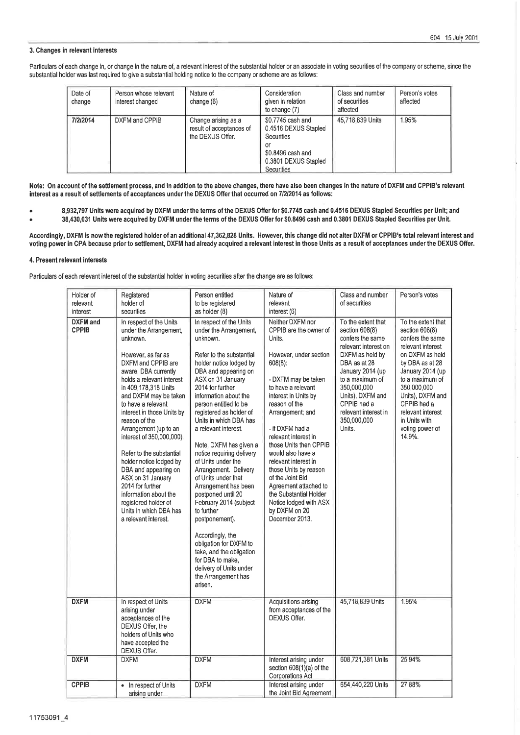#### 3. Changes in relevant interests

Particulars of each change in, or change in the nature of, a relevant interest of the substantial holder or an associate in voting securities of the company or scheme, since the substantial holder was last required to give a substantial holding notice to the company or scheme are as follows:

| Date of<br>change | Person whose relevant<br>interest changed | Nature of<br>change $(6)$                                           | Consideration<br>given in relation<br>to change (7)                                                                      | Class and number<br>of securities<br>affected | Person's votes<br>affected |
|-------------------|-------------------------------------------|---------------------------------------------------------------------|--------------------------------------------------------------------------------------------------------------------------|-----------------------------------------------|----------------------------|
| 7/2/2014          | DXFM and CPPIB                            | Change arising as a<br>result of acceptances of<br>the DEXUS Offer. | \$0,7745 cash and<br>0.4516 DEXUS Stapled<br>Securities<br>or<br>\$0.8496 cash and<br>0.3801 DEXUS Stapled<br>Securities | 45,718,839 Units                              | 1.95%                      |

Note: On account of the settlement process, and in addition to the above changes, there have also been changes in the nature of DXFM and CPPIB's relevant interest as a result of settlements of acceptances under the DEXUS Offer that occurred on 7/22014 as follows:

- o 8,932,797 Units were acquired by DXFM under the terms of the DEXUS Offer for \$0.7745 cash and 0.4516 DEXUS Stapled Securities per Unit; and 38,430,031 Units were acquired by DXFM under the terms of the DEXUS Offer for \$0.8496 cash and 0.3801 DEXUS Stapled Securities per Unit.
- a

Accordingly, DXFM is now the registered holder of an additional 47,362,828 Units. However, this change did not alte¡ DXFM or CPPIB's total relevant interest and voting power in CPA because prior to settlement, DXFM had already acquired a relevant interest in those Units as a result of acceptances under the DEXUS Offer.

#### 4. Present relevant interests

Particulars of each relevant interest of the substantial holder in voting securities after the change are as follows:

| Holder of<br>relevant<br>interest | Registered<br>holder of<br>securities                                                                                                                                                                                                                                                                                                                                                                                                                                                                                                                                 | Person entitled<br>to be registered<br>as holder (8)                                                                                                                                                                                                                                                                                                                                                                                                                                                                                                                                                                                                                                                                 | Nature of<br>relevant<br>interest (6)                                                                                                                                                                                                                                                                                                                                                                                                                                                 | Class and number<br>of securities                                                                                                                                                                                                                             | Person's votes                                                                                                                                                                                                                                                                  |
|-----------------------------------|-----------------------------------------------------------------------------------------------------------------------------------------------------------------------------------------------------------------------------------------------------------------------------------------------------------------------------------------------------------------------------------------------------------------------------------------------------------------------------------------------------------------------------------------------------------------------|----------------------------------------------------------------------------------------------------------------------------------------------------------------------------------------------------------------------------------------------------------------------------------------------------------------------------------------------------------------------------------------------------------------------------------------------------------------------------------------------------------------------------------------------------------------------------------------------------------------------------------------------------------------------------------------------------------------------|---------------------------------------------------------------------------------------------------------------------------------------------------------------------------------------------------------------------------------------------------------------------------------------------------------------------------------------------------------------------------------------------------------------------------------------------------------------------------------------|---------------------------------------------------------------------------------------------------------------------------------------------------------------------------------------------------------------------------------------------------------------|---------------------------------------------------------------------------------------------------------------------------------------------------------------------------------------------------------------------------------------------------------------------------------|
| <b>DXFM</b> and<br><b>CPPIB</b>   | In respect of the Units<br>under the Arrangement,<br>unknown.<br>However, as far as<br>DXFM and CPPIB are<br>aware, DBA currently<br>holds a relevant interest<br>in 409,178,318 Units<br>and DXFM may be taken<br>to have a relevant<br>interest in those Units by<br>reason of the<br>Arrangement (up to an<br>interest of 350,000,000).<br>Refer to the substantial<br>holder notice lodged by<br>DBA and appearing on<br>ASX on 31 January<br>2014 for further<br>information about the<br>registered holder of<br>Units in which DBA has<br>a relevant interest. | In respect of the Units<br>under the Arrangement,<br>unknown.<br>Refer to the substantial<br>holder notice lodged by<br>DBA and appearing on<br>ASX on 31 January<br>2014 for further<br>information about the<br>person entitled to be<br>registered as holder of<br>Units in which DBA has<br>a relevant interest.<br>Note, DXFM has given a<br>notice requiring delivery<br>of Units under the<br>Arrangement. Delivery<br>of Units under that<br>Arrangement has been<br>postponed until 20<br>February 2014 (subject<br>to further<br>postponement).<br>Accordingly, the<br>obligation for DXFM to<br>take, and the obligation<br>for DBA to make.<br>delivery of Units under<br>the Arrangement has<br>arisen. | Neither DXFM nor<br>CPPIB are the owner of<br>Units.<br>However, under section<br>$608(8)$ :<br>- DXFM may be taken<br>to have a relevant<br>interest in Units by<br>reason of the<br>Arrangement; and<br>- if DXFM had a<br>relevant interest in<br>those Units then CPPIB<br>would also have a<br>relevant interest in<br>those Units by reason<br>of the Joint Bid<br>Agreement attached to<br>the Substantial Holder<br>Notice lodged with ASX<br>by DXFM on 20<br>December 2013. | To the extent that<br>section 608(8)<br>confers the same<br>relevant interest on<br>DXFM as held by<br>DBA as at 28<br>January 2014 (up<br>to a maximum of<br>350,000,000<br>Units), DXFM and<br>CPPIB had a<br>relevant interest in<br>350,000,000<br>Units. | To the extent that<br>section 608(8)<br>confers the same<br>relevant interest<br>on DXFM as held<br>by DBA as at 28<br>January 2014 (up<br>to a maximum of<br>350,000,000<br>Units), DXFM and<br>CPPIB had a<br>relevant interest<br>in Units with<br>voting power of<br>14.9%. |
| <b>DXFM</b>                       | In respect of Units<br>arising under<br>acceptances of the<br>DEXUS Offer, the<br>holders of Units who<br>have accepted the<br>DEXUS Offer.                                                                                                                                                                                                                                                                                                                                                                                                                           | <b>DXFM</b>                                                                                                                                                                                                                                                                                                                                                                                                                                                                                                                                                                                                                                                                                                          | Acquisitions arising<br>from acceptances of the<br>DEXUS Offer.                                                                                                                                                                                                                                                                                                                                                                                                                       | 45,718,839 Units                                                                                                                                                                                                                                              | 1.95%                                                                                                                                                                                                                                                                           |
| <b>DXFM</b>                       | <b>DXFM</b>                                                                                                                                                                                                                                                                                                                                                                                                                                                                                                                                                           | <b>DXFM</b>                                                                                                                                                                                                                                                                                                                                                                                                                                                                                                                                                                                                                                                                                                          | Interest arising under<br>section 608(1)(a) of the<br>Corporations Act                                                                                                                                                                                                                                                                                                                                                                                                                | 608,721,381 Units                                                                                                                                                                                                                                             | 25.94%                                                                                                                                                                                                                                                                          |
| <b>CPPIB</b>                      | • In respect of Units<br>arising under                                                                                                                                                                                                                                                                                                                                                                                                                                                                                                                                | <b>DXFM</b>                                                                                                                                                                                                                                                                                                                                                                                                                                                                                                                                                                                                                                                                                                          | Interest arising under<br>the Joint Bid Agreement                                                                                                                                                                                                                                                                                                                                                                                                                                     | 654,440,220 Units                                                                                                                                                                                                                                             | 27.88%                                                                                                                                                                                                                                                                          |